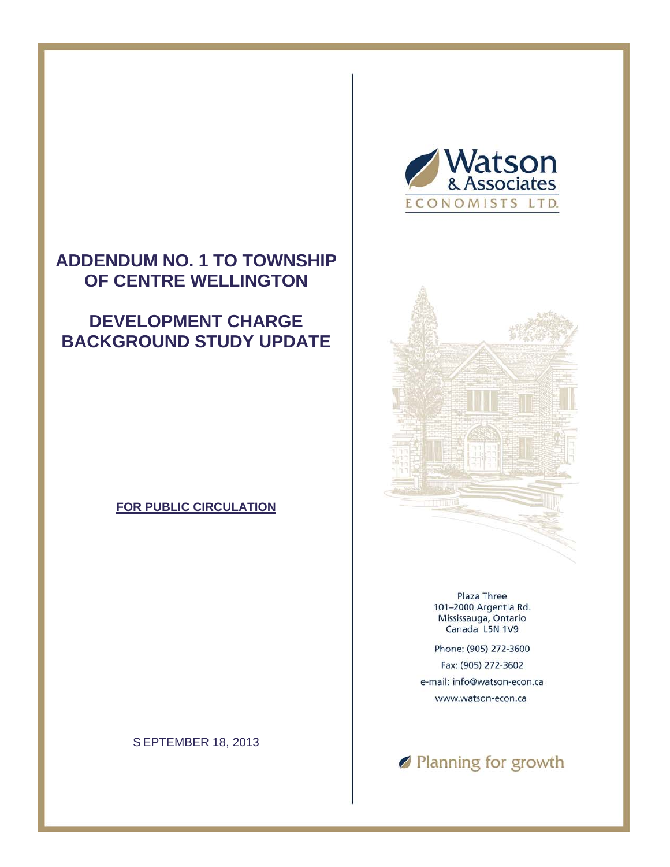#### **ADDENDUM NO. 1 TO TOWNSHIP OF CENTRE WELLINGTON**

#### **DEVELOPMENT CHARGE BACKGROUND STUDY UPDATE**

#### **FOR PUBLIC CIRCULATION**

S EPTEMBER 18, 2013





Plaza Three 101-2000 Argentia Rd. Mississauga, Ontario Canada L5N 1V9

Phone: (905) 272-3600 Fax: (905) 272-3602 e-mail: info@watson-econ.ca www.watson-econ.ca

Ranning for growth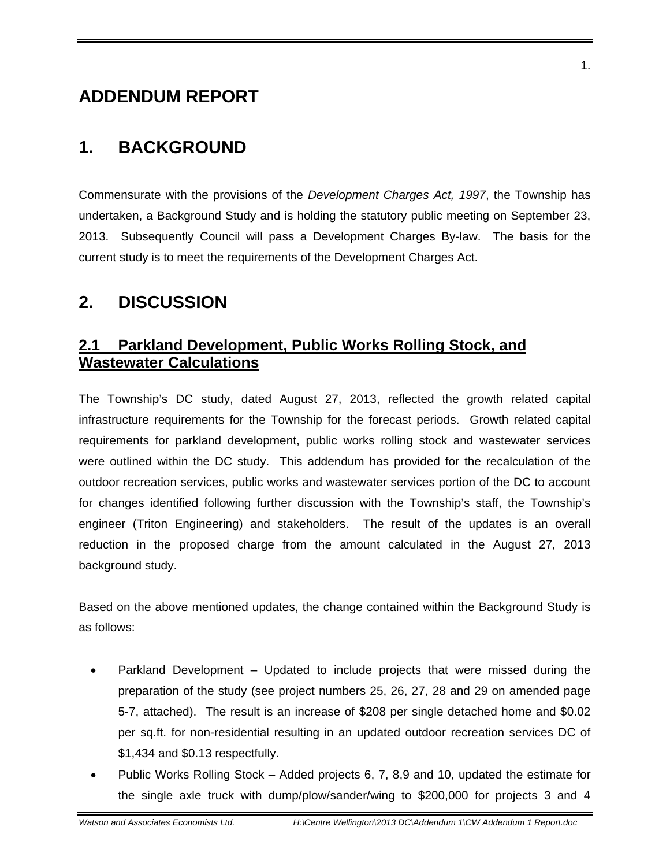#### **ADDENDUM REPORT**

#### **1. BACKGROUND**

Commensurate with the provisions of the *Development Charges Act, 1997*, the Township has undertaken, a Background Study and is holding the statutory public meeting on September 23, 2013. Subsequently Council will pass a Development Charges By-law. The basis for the current study is to meet the requirements of the Development Charges Act.

#### **2. DISCUSSION**

#### **2.1 Parkland Development, Public Works Rolling Stock, and Wastewater Calculations**

The Township's DC study, dated August 27, 2013, reflected the growth related capital infrastructure requirements for the Township for the forecast periods. Growth related capital requirements for parkland development, public works rolling stock and wastewater services were outlined within the DC study. This addendum has provided for the recalculation of the outdoor recreation services, public works and wastewater services portion of the DC to account for changes identified following further discussion with the Township's staff, the Township's engineer (Triton Engineering) and stakeholders. The result of the updates is an overall reduction in the proposed charge from the amount calculated in the August 27, 2013 background study.

Based on the above mentioned updates, the change contained within the Background Study is as follows:

- Parkland Development Updated to include projects that were missed during the preparation of the study (see project numbers 25, 26, 27, 28 and 29 on amended page 5-7, attached). The result is an increase of \$208 per single detached home and \$0.02 per sq.ft. for non-residential resulting in an updated outdoor recreation services DC of \$1,434 and \$0.13 respectfully.
- the single axle truck with dump/plow/sander/wing to \$200,000 for projects 3 and 4 Public Works Rolling Stock – Added projects 6, 7, 8,9 and 10, updated the estimate for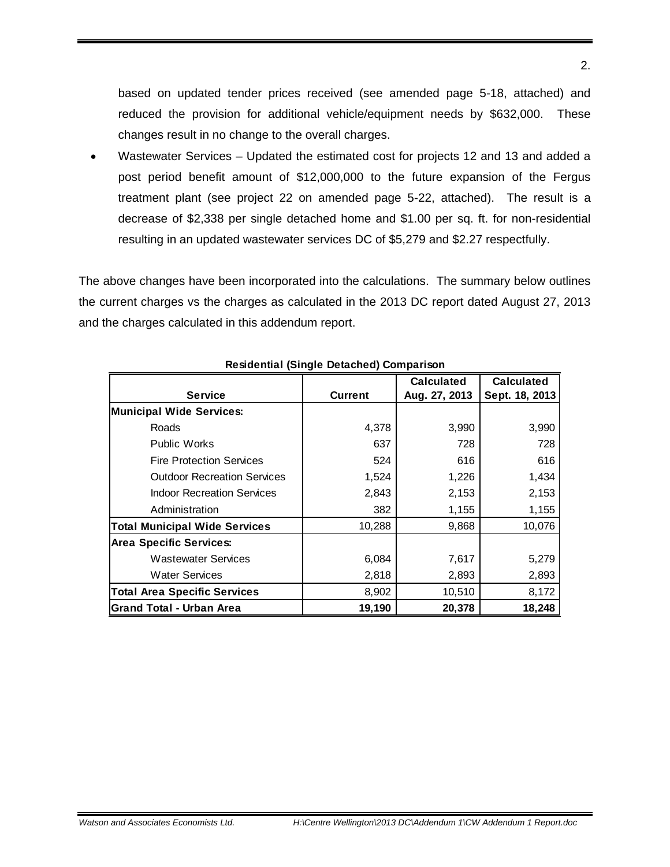based on updated tender prices received (see amended page 5-18, attached) and reduced the provision for additional vehicle/equipment needs by \$632,000. These changes result in no change to the overall charges.

 Wastewater Services – Updated the estimated cost for projects 12 and 13 and added a post period benefit amount of \$12,000,000 to the future expansion of the Fergus treatment plant (see project 22 on amended page 5-22, attached). The result is a decrease of \$2,338 per single detached home and \$1.00 per sq. ft. for non-residential resulting in an updated wastewater services DC of \$5,279 and \$2.27 respectfully.

The above changes have been incorporated into the calculations. The summary below outlines the current charges vs the charges as calculated in the 2013 DC report dated August 27, 2013 and the charges calculated in this addendum report.

|                                      | $-0.000000$    | <b>Calculated</b> | <b>Calculated</b> |
|--------------------------------------|----------------|-------------------|-------------------|
| <b>Service</b>                       | <b>Current</b> | Aug. 27, 2013     | Sept. 18, 2013    |
| <b>Municipal Wide Services:</b>      |                |                   |                   |
| Roads                                | 4,378          | 3,990             | 3,990             |
| <b>Public Works</b>                  | 637            | 728               | 728               |
| <b>Fire Protection Services</b>      | 524            | 616               | 616               |
| <b>Outdoor Recreation Services</b>   | 1,524          | 1,226             | 1,434             |
| <b>Indoor Recreation Services</b>    | 2,843          | 2,153             | 2,153             |
| Administration                       | 382            | 1,155             | 1,155             |
| <b>Total Municipal Wide Services</b> | 10,288         | 9,868             | 10,076            |
| <b>Area Specific Services:</b>       |                |                   |                   |
| <b>Wastewater Services</b>           | 6,084          | 7,617             | 5,279             |
| <b>Water Services</b>                | 2,818          | 2,893             | 2,893             |
| <b>Total Area Specific Services</b>  | 8,902          | 10,510            | 8,172             |
| <b>Grand Total - Urban Area</b>      | 19,190         | 20,378            | 18,248            |

**Residential (Single Detached) Comparison**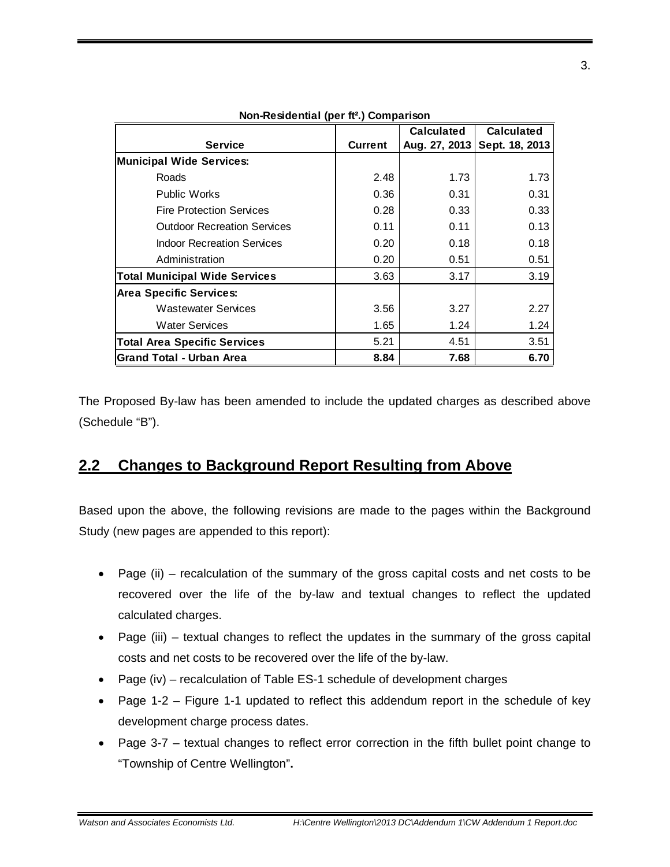|                                      |                | <b>Calculated</b> | <b>Calculated</b> |
|--------------------------------------|----------------|-------------------|-------------------|
| <b>Service</b>                       | <b>Current</b> | Aug. 27, 2013     | Sept. 18, 2013    |
| <b>Municipal Wide Services:</b>      |                |                   |                   |
| Roads                                | 2.48           | 1.73              | 1.73              |
| <b>Public Works</b>                  | 0.36           | 0.31              | 0.31              |
| <b>Fire Protection Services</b>      | 0.28           | 0.33              | 0.33              |
| <b>Outdoor Recreation Services</b>   | 0.11           | 0.11              | 0.13              |
| <b>Indoor Recreation Services</b>    | 0.20           | 0.18              | 0.18              |
| Administration                       | 0.20           | 0.51              | 0.51              |
| <b>Total Municipal Wide Services</b> | 3.63           | 3.17              | 3.19              |
| <b>Area Specific Services:</b>       |                |                   |                   |
| <b>Wastewater Services</b>           | 3.56           | 3.27              | 2.27              |
| <b>Water Services</b>                | 1.65           | 1.24              | 1.24              |
| <b>Total Area Specific Services</b>  | 5.21           | 4.51              | 3.51              |
| <b>Grand Total - Urban Area</b>      | 8.84           | 7.68              | 6.70              |

**Non-Residential (per ft².) Comparison** 

The Proposed By-law has been amended to include the updated charges as described above (Schedule "B").

#### **2.2 Changes to Background Report Resulting from Above**

Based upon the above, the following revisions are made to the pages within the Background Study (new pages are appended to this report):

- Page (ii) recalculation of the summary of the gross capital costs and net costs to be recovered over the life of the by-law and textual changes to reflect the updated calculated charges.
- Page (iii) textual changes to reflect the updates in the summary of the gross capital costs and net costs to be recovered over the life of the by-law.
- Page (iv) recalculation of Table ES-1 schedule of development charges
- Page 1-2 Figure 1-1 updated to reflect this addendum report in the schedule of key development charge process dates.
- Page 3-7 textual changes to reflect error correction in the fifth bullet point change to "Township of Centre Wellington"**.**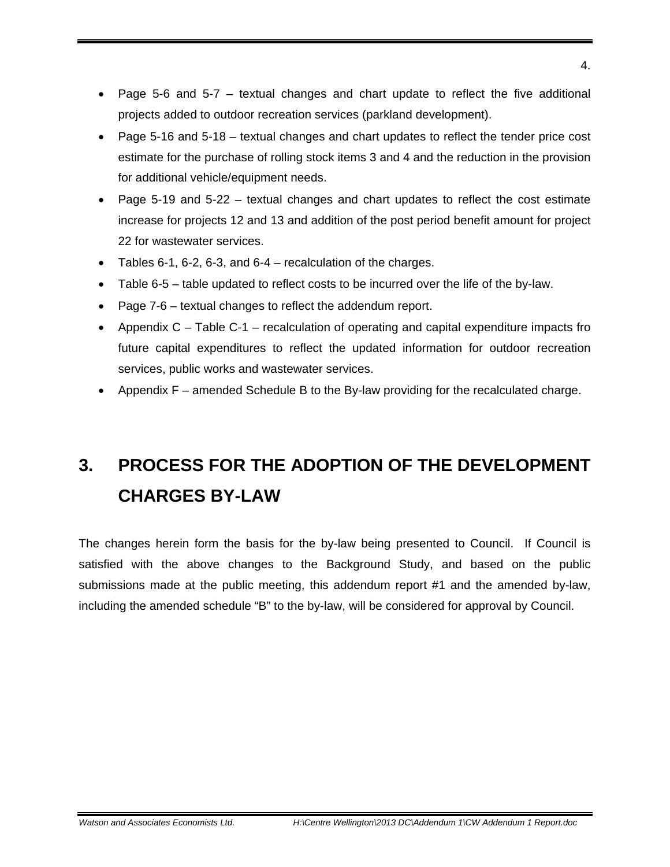- Page 5-6 and 5-7 textual changes and chart update to reflect the five additional projects added to outdoor recreation services (parkland development).
- Page 5-16 and 5-18 textual changes and chart updates to reflect the tender price cost estimate for the purchase of rolling stock items 3 and 4 and the reduction in the provision for additional vehicle/equipment needs.
- Page 5-19 and 5-22 textual changes and chart updates to reflect the cost estimate increase for projects 12 and 13 and addition of the post period benefit amount for project 22 for wastewater services.
- $\bullet$  Tables 6-1, 6-2, 6-3, and 6-4 recalculation of the charges.
- Table 6-5 table updated to reflect costs to be incurred over the life of the by-law.
- Page 7-6 textual changes to reflect the addendum report.
- Appendix  $C -$  Table C-1 recalculation of operating and capital expenditure impacts fro future capital expenditures to reflect the updated information for outdoor recreation services, public works and wastewater services.
- Appendix F amended Schedule B to the By-law providing for the recalculated charge.

#### **3. PROCESS FOR THE ADOPTION OF THE DEVELOPMENT CHARGES BY-LAW**

The changes herein form the basis for the by-law being presented to Council. If Council is satisfied with the above changes to the Background Study, and based on the public submissions made at the public meeting, this addendum report #1 and the amended by-law, including the amended schedule "B" to the by-law, will be considered for approval by Council.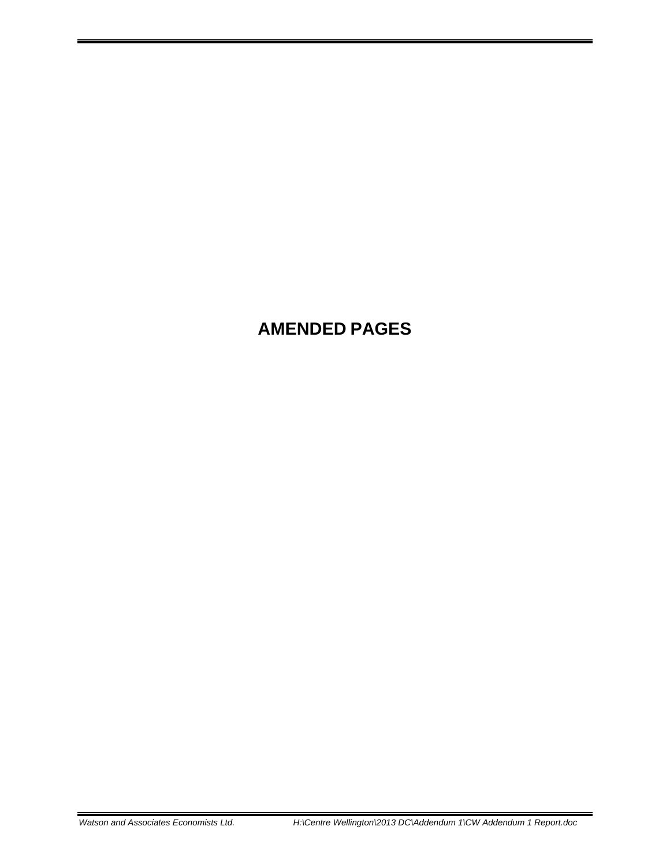#### **AMENDED PAGES**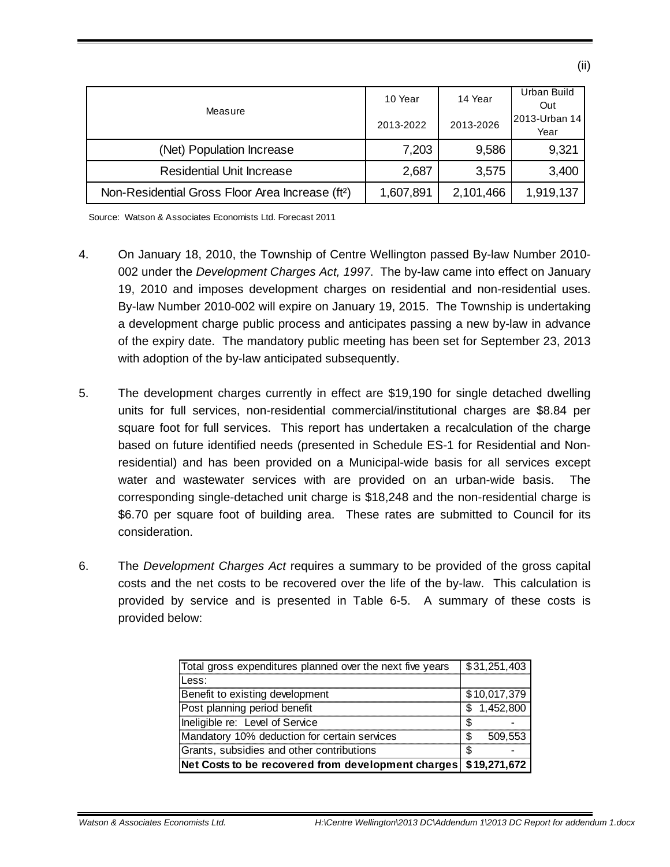|                                                              | 10 Year   | 14 Year   | Urban Build   |
|--------------------------------------------------------------|-----------|-----------|---------------|
| Measure                                                      |           |           | Out           |
|                                                              | 2013-2022 | 2013-2026 | 2013-Urban 14 |
|                                                              |           |           | Year          |
| (Net) Population Increase                                    | 7,203     | 9,586     | 9,321         |
|                                                              |           |           |               |
| <b>Residential Unit Increase</b>                             | 2,687     | 3,575     | 3,400         |
| Non-Residential Gross Floor Area Increase (ft <sup>2</sup> ) | 1,607,891 | 2,101,466 | 1,919,137     |

Source: Watson & Associates Economists Ltd. Forecast 2011

- 19, 2010 and imposes development charges on residential and non-residential uses. 4. On January 18, 2010, the Township of Centre Wellington passed By-law Number 2010 002 under the *Development Charges Act, 1997*. The by-law came into effect on January By-law Number 2010-002 will expire on January 19, 2015. The Township is undertaking a development charge public process and anticipates passing a new by-law in advance of the expiry date. The mandatory public meeting has been set for September 23, 2013 with adoption of the by-law anticipated subsequently.
- 5. The development charges currently in effect are \$19,190 for single detached dwelling units for full services, non-residential commercial/institutional charges are \$8.84 per square foot for full services. This report has undertaken a recalculation of the charge based on future identified needs (presented in Schedule ES-1 for Residential and Nonresidential) and has been provided on a Municipal-wide basis for all services except water and wastewater services with are provided on an urban-wide basis. The corresponding single-detached unit charge is \$18,248 and the non-residential charge is \$6.70 per square foot of building area. These rates are submitted to Council for its consideration.
- 6. The *Development Charges Act* requires a summary to be provided of the gross capital costs and the net costs to be recovered over the life of the by-law. This calculation is provided by service and is presented in Table 6-5. A summary of these costs is provided below:

| Total gross expenditures planned over the next five years | \$31,251,403   |
|-----------------------------------------------------------|----------------|
| Less:                                                     |                |
| Benefit to existing development                           | \$10,017,379   |
| Post planning period benefit                              | 1,452,800<br>S |
| Ineligible re: Level of Service                           | S              |
| Mandatory 10% deduction for certain services              | 509,553<br>S   |
| Grants, subsidies and other contributions                 | S              |
| Net Costs to be recovered from development charges        | \$19,271,672   |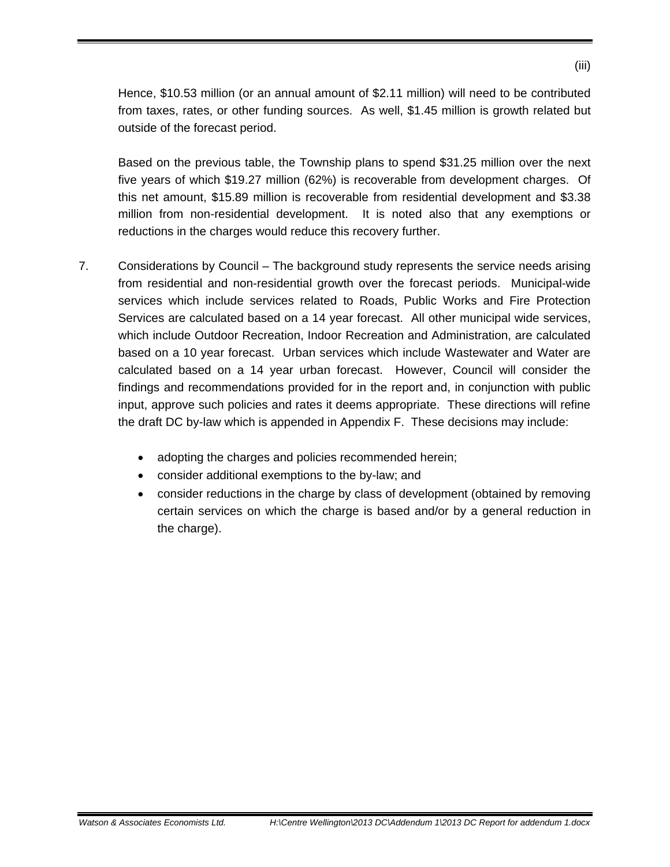Hence, \$10.53 million (or an annual amount of \$2.11 million) will need to be contributed from taxes, rates, or other funding sources. As well, \$1.45 million is growth related but outside of the forecast period.

Based on the previous table, the Township plans to spend \$31.25 million over the next five years of which \$19.27 million (62%) is recoverable from development charges. Of this net amount, \$15.89 million is recoverable from residential development and \$3.38 million from non-residential development. It is noted also that any exemptions or reductions in the charges would reduce this recovery further.

- 7. Considerations by Council The background study represents the service needs arising from residential and non-residential growth over the forecast periods. Municipal-wide services which include services related to Roads, Public Works and Fire Protection Services are calculated based on a 14 year forecast. All other municipal wide services, which include Outdoor Recreation, Indoor Recreation and Administration, are calculated based on a 10 year forecast. Urban services which include Wastewater and Water are calculated based on a 14 year urban forecast. However, Council will consider the findings and recommendations provided for in the report and, in conjunction with public input, approve such policies and rates it deems appropriate. These directions will refine the draft DC by-law which is appended in Appendix F. These decisions may include:
	- adopting the charges and policies recommended herein;
	- consider additional exemptions to the by-law; and
	- consider reductions in the charge by class of development (obtained by removing certain services on which the charge is based and/or by a general reduction in the charge).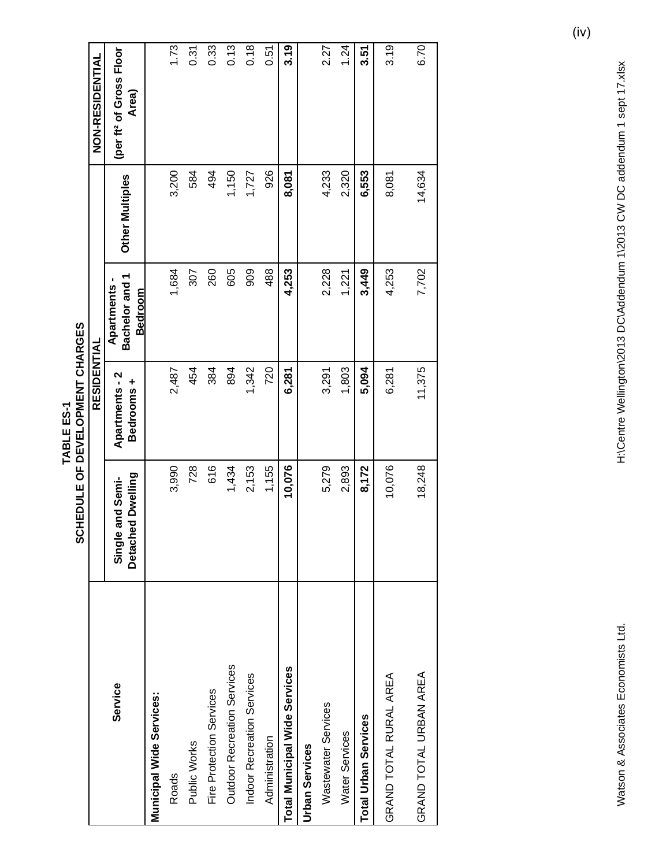| <b>NON-RESIDENTIAL</b> | (per ft <sup>2</sup> of Gross Floor<br>Area)   |                          | 1.73  | 0.31         | 0.33                     | 0.13                        | 0.18                       | 0.51           | 3.19                                 |                       | 2.27                | 1.24           | 3.51                        | 3.19                   | 6.70                   |
|------------------------|------------------------------------------------|--------------------------|-------|--------------|--------------------------|-----------------------------|----------------------------|----------------|--------------------------------------|-----------------------|---------------------|----------------|-----------------------------|------------------------|------------------------|
|                        | Other Multiples                                |                          | 3,200 | 584          | 494                      | 1,150                       | 1,727                      | 926            | 8,081                                |                       | 4,233               | 2,320          | 6,553                       | 8,081                  | 14,634                 |
|                        | Bachelor and 1<br>Apartments<br><b>Bedroom</b> |                          | 1,684 | 307          | 260                      | 605                         | 909                        | 488            | 4,253                                |                       | 2,228               | 1,221          | 3,449                       | 4,253                  | 7,702                  |
| RESIDENTIAL            | <b>Apartments-2</b><br>Bedrooms +              |                          | 2,487 | 454          | 384                      | 894                         | 1,342                      | 720            | 6,281                                |                       | 3,291               | 1,803          | 5,094                       | 6,281                  | 11,375                 |
|                        | Detached Dwelling<br>and Semi-<br>Single       |                          | 3,990 | 728          | 616                      | 1,434                       | 2,153                      | 1,155          | 10,076                               |                       | 5,279               | 2,893          | 8,172                       | 10,076                 | 18,248                 |
|                        | Service                                        | Municipal Wide Services: | Roads | Public Works | Fire Protection Services | Outdoor Recreation Services | Indoor Recreation Services | Administration | <b>Total Municipal Wide Services</b> | <b>Urban Services</b> | Wastewater Services | Water Services | <b>Total Urban Services</b> | GRAND TOTAL RURAL AREA | GRAND TOTAL URBAN AREA |

TABLE ES-1<br>SCHEDULE OF DEVELOPMENT CHARGES **SCHEDULE OF DEVELOPMENT CHARGES TABLE ES-1**

H:\Centre Wellington\2013 DC\Addendum 1\2013 CW DC addendum 1 sept 17.xlsx Watson & Associates Economists Ltd. H:\Centre Wellington\2013 DC\Addendum 1\2013 CW DC addendum 1 sept 17.xlsx

Watson & Associates Economists Ltd.

(iv)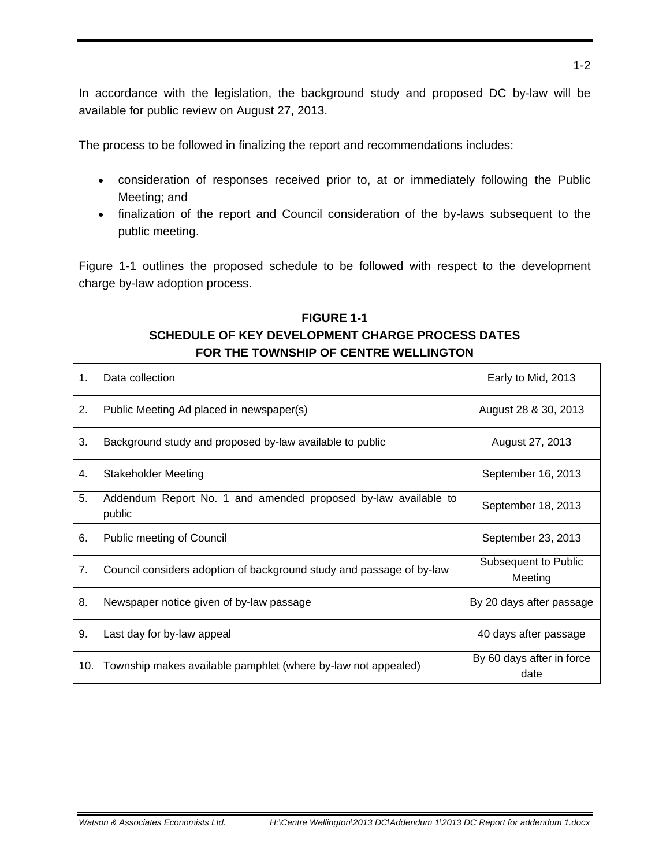In accordance with the legislation, the background study and proposed DC by-law will be available for public review on August 27, 2013.

The process to be followed in finalizing the report and recommendations includes:

- consideration of responses received prior to, at or immediately following the Public Meeting; and
- finalization of the report and Council consideration of the by-laws subsequent to the public meeting.

Figure 1-1 outlines the proposed schedule to be followed with respect to the development charge by-law adoption process.

#### **FIGURE 1-1 SCHEDULE OF KEY DEVELOPMENT CHARGE PROCESS DATES FOR THE TOWNSHIP OF CENTRE WELLINGTON**

| 1.  | Data collection                                                          | Early to Mid, 2013                |
|-----|--------------------------------------------------------------------------|-----------------------------------|
| 2.  | Public Meeting Ad placed in newspaper(s)                                 | August 28 & 30, 2013              |
| 3.  | Background study and proposed by-law available to public                 | August 27, 2013                   |
| 4.  | <b>Stakeholder Meeting</b>                                               | September 16, 2013                |
| 5.  | Addendum Report No. 1 and amended proposed by-law available to<br>public | September 18, 2013                |
| 6.  | Public meeting of Council                                                | September 23, 2013                |
| 7.  | Council considers adoption of background study and passage of by-law     | Subsequent to Public<br>Meeting   |
| 8.  | Newspaper notice given of by-law passage                                 | By 20 days after passage          |
| 9.  | Last day for by-law appeal                                               | 40 days after passage             |
| 10. | Township makes available pamphlet (where by-law not appealed)            | By 60 days after in force<br>date |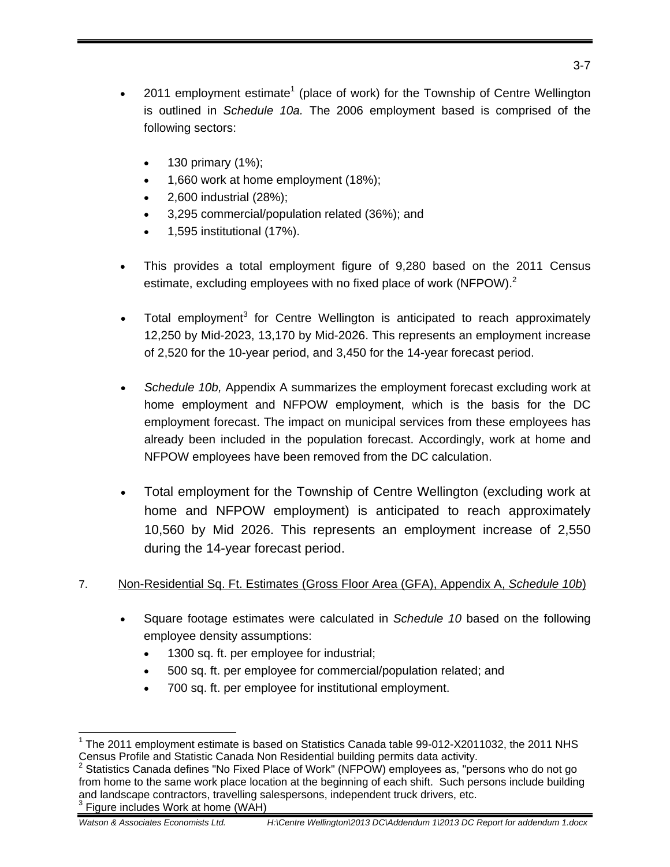- 2011 employment estimate<sup>1</sup> (place of work) for the Township of Centre Wellington is outlined in *Schedule 10a.* The 2006 employment based is comprised of the following sectors:
	- 130 primary (1%);
	- 1,660 work at home employment (18%);
	- 2,600 industrial (28%);
	- 3,295 commercial/population related (36%); and
	- 1,595 institutional (17%).
- estimate, excluding employees with no fixed place of work (NFPOW).<sup>2</sup> This provides a total employment figure of 9,280 based on the 2011 Census
- Total employment<sup>3</sup> for Centre Wellington is anticipated to reach approximately 12,250 by Mid-2023, 13,170 by Mid-2026. This represents an employment increase of 2,520 for the 10-year period, and 3,450 for the 14-year forecast period.
- *Schedule 10b,* Appendix A summarizes the employment forecast excluding work at home employment and NFPOW employment, which is the basis for the DC employment forecast. The impact on municipal services from these employees has already been included in the population forecast. Accordingly, work at home and NFPOW employees have been removed from the DC calculation.
- Total employment for the Township of Centre Wellington (excluding work at home and NFPOW employment) is anticipated to reach approximately 10,560 by Mid 2026. This represents an employment increase of 2,550 during the 14-year forecast period.

#### 7. Non-Residential Sq. Ft. Estimates (Gross Floor Area (GFA), Appendix A, *Schedule 10b*)

- Square footage estimates were calculated in *Schedule 10* based on the following employee density assumptions:
	- 1300 sq. ft. per employee for industrial;
	- 500 sq. ft. per employee for commercial/population related; and
	- 700 sq. ft. per employee for institutional employment.

<sup>-</sup><sup>1</sup> The 2011 employment estimate is based on Statistics Canada table 99-012-X2011032, the 2011 NHS Census Profile and Statistic Canada Non Residential building permits data activity.<br><sup>2</sup> Statistics Canada defines "No Fixed Place of Work" (NFPOW) employees as, "persons who do not go

from home to the same work place location at the beginning of each shift. Such persons include building and landscape contractors, travelling salespersons, independent truck drivers, etc.

Figure includes Work at home (WAH)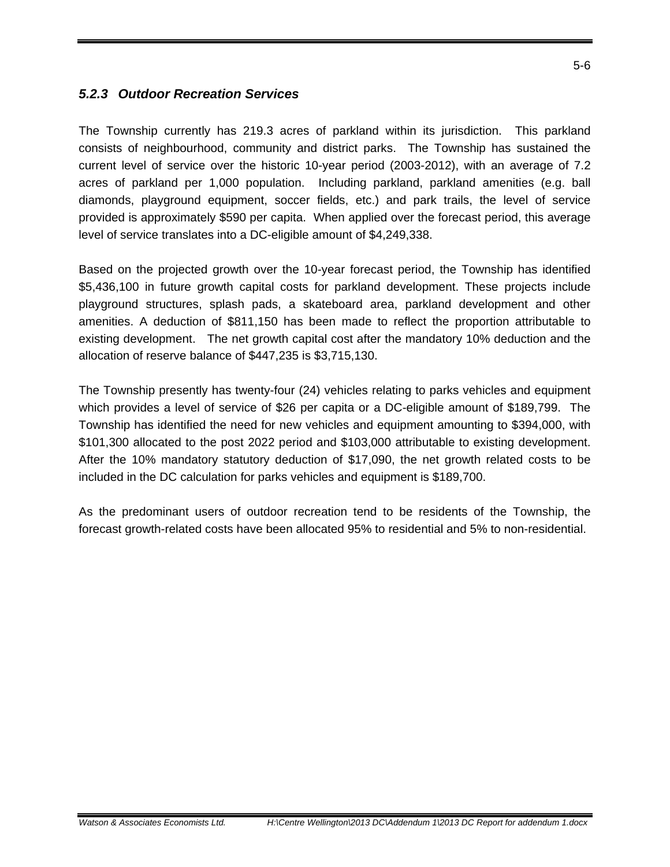#### *5.2.3 Outdoor Recreation Services*

The Township currently has 219.3 acres of parkland within its jurisdiction. This parkland consists of neighbourhood, community and district parks. The Township has sustained the current level of service over the historic 10-year period (2003-2012), with an average of 7.2 acres of parkland per 1,000 population. Including parkland, parkland amenities (e.g. ball diamonds, playground equipment, soccer fields, etc.) and park trails, the level of service provided is approximately \$590 per capita. When applied over the forecast period, this average level of service translates into a DC-eligible amount of \$4,249,338.

Based on the projected growth over the 10-year forecast period, the Township has identified \$5,436,100 in future growth capital costs for parkland development. These projects include playground structures, splash pads, a skateboard area, parkland development and other amenities. A deduction of \$811,150 has been made to reflect the proportion attributable to existing development. The net growth capital cost after the mandatory 10% deduction and the allocation of reserve balance of \$447,235 is \$3,715,130.

The Township presently has twenty-four (24) vehicles relating to parks vehicles and equipment which provides a level of service of \$26 per capita or a DC-eligible amount of \$189,799. The Township has identified the need for new vehicles and equipment amounting to \$394,000, with \$101,300 allocated to the post 2022 period and \$103,000 attributable to existing development. After the 10% mandatory statutory deduction of \$17,090, the net growth related costs to be included in the DC calculation for parks vehicles and equipment is \$189,700.

As the predominant users of outdoor recreation tend to be residents of the Township, the forecast growth-related costs have been allocated 95% to residential and 5% to non-residential.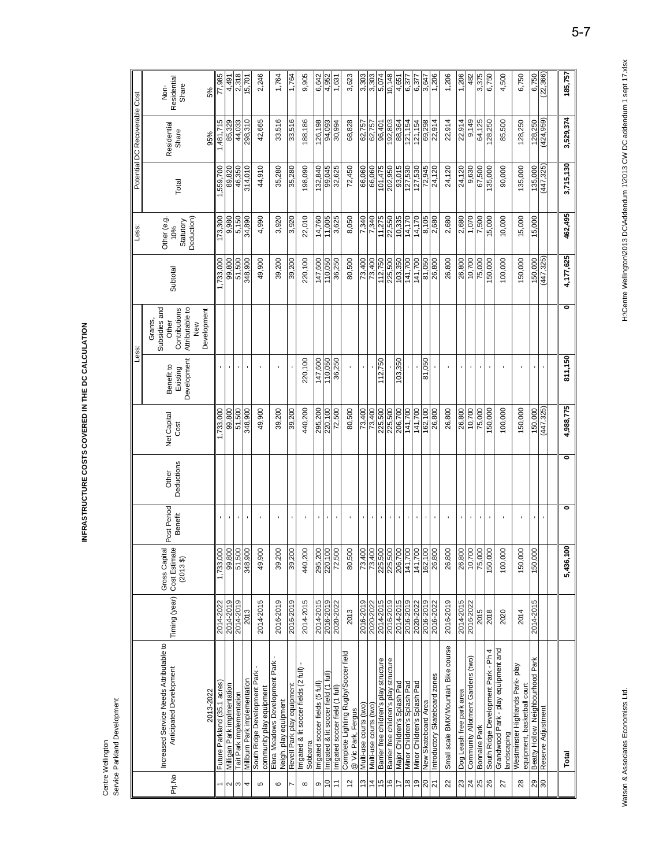INFRASTRUCTURE COSTS COVERED IN THE DC CALCULATION **INFRASTRUCTURE COSTS COVERED IN THE DC CALCULATION** 

> Centre Wellington<br>Service:Parkland Development Service:Parkland Development Centre Wellington

|                                |                                                                                 |               |                                               |                        |                     |                     | Less:                                 |                                                                                             |            | Less:                                         |            | Potential DC Recoverable Cost |                                    |
|--------------------------------|---------------------------------------------------------------------------------|---------------|-----------------------------------------------|------------------------|---------------------|---------------------|---------------------------------------|---------------------------------------------------------------------------------------------|------------|-----------------------------------------------|------------|-------------------------------|------------------------------------|
| Pri.No                         | Increased Service Needs Attributable to<br>Anticipated Development<br>2013-2022 | Timing (year) | Gross Capital<br>Cost Estimate<br>$(2013$ \$) | Post Period<br>Benefit | Deductions<br>Other | Net Capital<br>Cost | Development<br>Benefit to<br>Existing | Subsidies and<br>Attributable to<br>Contributions<br>Development<br>Grants,<br>Other<br>New | Subtotal   | Other (e.g.<br>Deduction)<br>Statutory<br>10% | Total      | Residential<br>Share<br>95%   | Residential<br>Share<br>Non-<br>5% |
| 1                              | Future Parkland (35.1 acres)                                                    | 2014-2022     | 1,733,000                                     | f,                     |                     | 1,733,000           |                                       |                                                                                             | 1,733,000  | 173,300                                       | 1,559,700  | ,481,715                      | 77,985                             |
| $\sim$                         | Milligan Park implmentation                                                     | 2014-2019     | 99,800                                        | $\blacksquare$         |                     | 99,800              |                                       |                                                                                             | 99,800     | 9,980                                         | 89,820     | 85,329                        | 4,491                              |
| S                              | Tait Park implementation                                                        | 2014-2019     | 51,500                                        | ï                      |                     | 51,500              |                                       |                                                                                             | 51,500     | 5,150                                         | 46,350     | 44,033                        | 2,318                              |
| 4                              | Millbum Park implementation                                                     | 2013          | 348,900                                       | $\blacksquare$         |                     | 348,900             |                                       |                                                                                             | 348,900    | 34,890                                        | 314,010    | 298,310                       | 15,701                             |
| Б                              | South Ridge Development Park<br>community play equipment                        | 2014-2015     | 49,900                                        | $\blacksquare$         |                     | 49,900              |                                       |                                                                                             | 49,900     | 4,990                                         | 44,910     | 42,665                        | 2,246                              |
| ဖ                              | Elora Meadows Development Park<br>Neigh. play equipment                         | 2016-2019     | 39,200                                        | ٠                      |                     | 39,200              |                                       |                                                                                             | 39,200     | 3,920                                         | 35,280     | 33,516                        | 1,764                              |
| Z                              | Revell Park play equipment                                                      | 2016-2019     | 39,200                                        | ٠                      |                     | 39,200              |                                       |                                                                                             | 39,200     | 3,920                                         | 35,280     | 33,516                        | 1,764                              |
| $\infty$                       | Irrigated & lit soccer fields (2 full) -<br>Sobbarra                            | 2014-2015     | 440,200                                       |                        |                     | 440,200             | 220,100                               |                                                                                             | 220,100    | 22,010                                        | 198,090    | 188,186                       | 9,905                              |
| თ                              | Irrigated soccer fields (5 full                                                 | 2014-2015     | 295,200                                       | ٠                      |                     | 295,200             | 147,600                               |                                                                                             | 147,600    | 14,760                                        | 132,840    | 126,198                       | 6,642                              |
| $\overline{C}$                 | Irrigated & lit soccer field (1 full)                                           | 2016-2019     | 220,100                                       | $\mathbf{r}$           |                     | 220,100             | 110,050                               |                                                                                             | 110,050    | 11,005                                        | 99,045     | 94,093                        | 4,952                              |
| Ξ                              | Irrigated soccer field (1 full)                                                 | 2020-2022     | 72,500                                        | ٠                      |                     | 72,500              | 36,250                                |                                                                                             | 36,250     | 3,625                                         | 32,625     | 30,994                        | 1,631                              |
| $\frac{2}{3}$                  | Complete Lighting Rugby/Soccer field<br>@ Vic Park, Fergus                      | 2013          | 80,500                                        | ٠                      |                     | 80,500              |                                       |                                                                                             | 80,500     | 8,050                                         | 72,450     | 68,828                        | 3,623                              |
| 13                             | Multi-use courts (two)                                                          | 2016-2019     | 73,400                                        | ٠                      |                     | 73,400              |                                       |                                                                                             | 73,400     | 7,340                                         | 66,060     | 62,757                        | 3,303                              |
| $\overline{4}$                 | Multi-use courts (two)                                                          | 2020-2022     | 73,400                                        | ٠                      |                     | 73,400              |                                       |                                                                                             | 73,400     | 7,340                                         | 66,060     | 62,757                        | 3,303                              |
| $\frac{5}{3}$                  | Barrier free children's play structure                                          | 2014-2015     | 225,500                                       | $\mathbf{r}$           |                     | 225,500             | 112,750                               |                                                                                             | 112,750    | 11,275                                        | 101,475    | 96,401                        | 5,074                              |
| $\frac{6}{5}$                  | Barrier free children's play structure                                          | 2016-2019     | 225,500                                       | $\mathbf{r}$           |                     | 225,500             |                                       |                                                                                             | 225,500    | 22,550                                        | 202,950    | 192,803                       | 10,148                             |
| 17                             | Major Children's Splash Pad                                                     | 2014-2015     | 206,700                                       | $\mathbf{r}$           |                     | 206,700             | 103,350                               |                                                                                             | 103,350    | 10,335                                        | 93,015     | 88,364                        | 4,651                              |
| $\overset{\circ}{\phantom{1}}$ | Minor Children's Splash Pad                                                     | 2016-2019     | 141,700                                       | $\blacksquare$         |                     | 141,700             |                                       |                                                                                             | 141,700    | 14,170                                        | 127,530    | 121,154                       | 6,377                              |
| e,                             | Minor Children's Splash Pad                                                     | 2020-2022     | 141,700                                       | $\mathbf{r}$           |                     | 141,700             |                                       |                                                                                             | 141,700    | 14,170                                        | 127,530    | 121,154                       | 6,377                              |
| 20                             | New Skateboard Area                                                             | 2016-2019     | 162,100                                       | $\mathbf{r}$           |                     | 162,100             | 81,050                                |                                                                                             | 81,050     | 8,105                                         | 72,945     | 69,298<br>22,914              | 3,647                              |
| $\overline{2}$                 | Introductory Skateboard zones                                                   | 2016-2022     | 26,800                                        | $\cdot$                |                     | 26,800              |                                       |                                                                                             | 26,800     | 2,680                                         | 24,120     |                               | 1,206                              |
| 22                             | Small scale BMX/Mountain Bike course                                            | 2016-2019     | 26,800                                        | $\blacksquare$         |                     | 26,800              |                                       |                                                                                             | 26,800     | 2,680                                         | 24,120     | 22,914                        | 1,206                              |
|                                | Dog Leash free park area                                                        | 2014-2015     | 26,800                                        | $\blacksquare$         |                     | 26,800              |                                       |                                                                                             | 26,800     | 2,680                                         | 24,120     | 22,914                        | 1,206                              |
| $\frac{23}{24}$                | Community Allotment Gardens (two)                                               | 2016-2022     | 10,700                                        | $\blacksquare$         |                     | 10,700              | $\blacksquare$                        |                                                                                             | 10,700     | 1,070                                         | 9,630      | 9,149                         | 482                                |
| 25                             | Bonnaire Park                                                                   | 2015          | 75,000                                        | $\mathbf{r}$           |                     | 75,000              |                                       |                                                                                             | 75,000     | 7,500                                         | 67,500     | 64,125                        | 3,375                              |
| 26                             | South Ridge Development Park - Ph 4                                             | 2018          | 150,000                                       | $\blacksquare$         |                     | 50,000              |                                       |                                                                                             | 150,000    | 15,000                                        | 135,000    | 128,250                       | 6,750                              |
| 27                             | Grandwood Park - play equipment and<br>andscaping                               | 2020          | 100,000                                       | $\blacksquare$         |                     | 100,000             |                                       |                                                                                             | 100,000    | 10,000                                        | 90,000     | 85,500                        | 4,500                              |
| 28                             | Westminster Highlands Park-play<br>equipment, basketball court                  | 2014          | 150,000                                       | ×                      |                     | 150,000             |                                       |                                                                                             | 150,000    | 15,000                                        | 135,000    | 128,250                       | 6,750                              |
| $\frac{1}{20}$                 | Beatty Hollow Neighbourhood Park                                                | 2014-2015     | 150,000                                       | $\bar{\phantom{a}}$    |                     | 150,000             | ٠                                     |                                                                                             | 150,000    | 15,000                                        | 135,000    | 128,250                       | 6,750                              |
|                                | Reserve Adjustment                                                              |               |                                               | $\blacksquare$         |                     | (447, 325)          |                                       |                                                                                             | (447, 325) |                                               | (447, 325) | (424, 959)                    | (22, 366)                          |
|                                |                                                                                 |               |                                               |                        |                     |                     |                                       |                                                                                             |            |                                               |            |                               |                                    |
|                                | Total                                                                           |               | 5,436,100                                     | o                      | o                   | 4,988,775           | 811,150                               | ۰                                                                                           | 4,177,625  | 462,495                                       | 3,715,130  | 3,529,374                     | 185,757                            |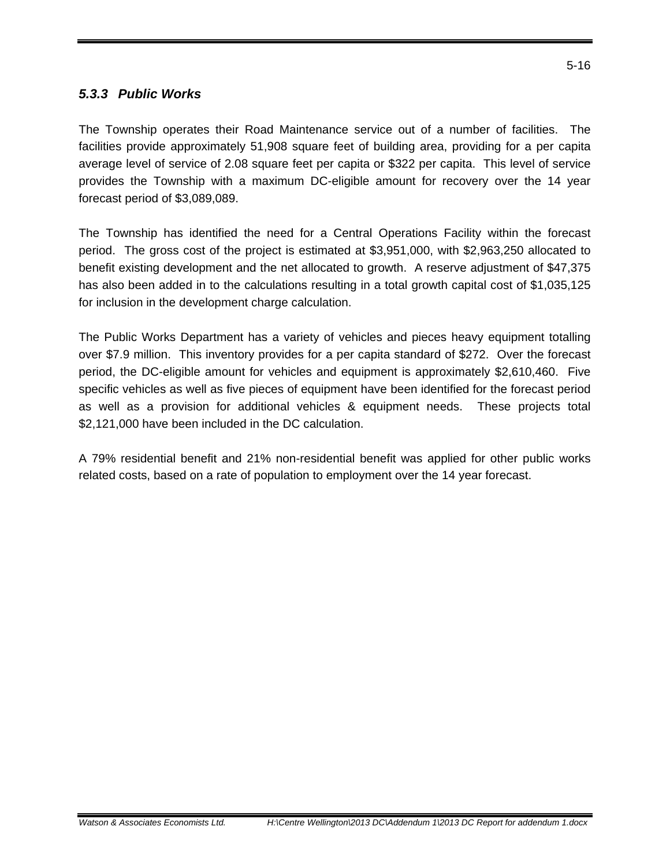#### *5.3.3 Public Works*

The Township operates their Road Maintenance service out of a number of facilities. The facilities provide approximately 51,908 square feet of building area, providing for a per capita average level of service of 2.08 square feet per capita or \$322 per capita. This level of service provides the Township with a maximum DC-eligible amount for recovery over the 14 year forecast period of \$3,089,089.

The Township has identified the need for a Central Operations Facility within the forecast period. The gross cost of the project is estimated at \$3,951,000, with \$2,963,250 allocated to benefit existing development and the net allocated to growth. A reserve adjustment of \$47,375 has also been added in to the calculations resulting in a total growth capital cost of \$1,035,125 for inclusion in the development charge calculation.

The Public Works Department has a variety of vehicles and pieces heavy equipment totalling over \$7.9 million. This inventory provides for a per capita standard of \$272. Over the forecast period, the DC-eligible amount for vehicles and equipment is approximately \$2,610,460. Five specific vehicles as well as five pieces of equipment have been identified for the forecast period as well as a provision for additional vehicles & equipment needs. These projects total \$2,121,000 have been included in the DC calculation.

A 79% residential benefit and 21% non-residential benefit was applied for other public works related costs, based on a rate of population to employment over the 14 year forecast.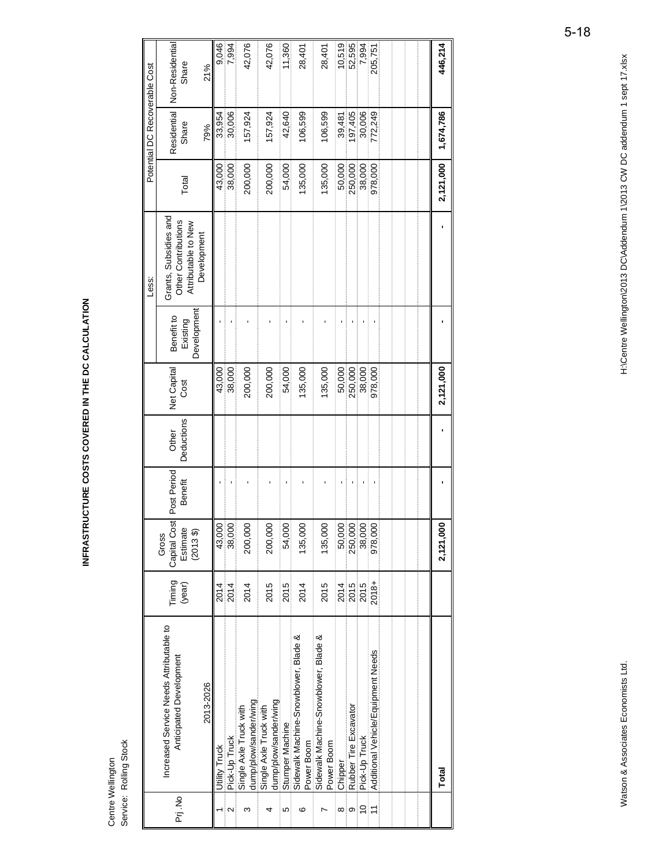INFRASTRUCTURE COSTS COVERED IN THE DC CALCULATION **INFRASTRUCTURE COSTS COVERED IN THE DC CALCULATION** 

> Centre Wellington<br>Service: Rolling Stock Service: Rolling Stock Centre Wellington

|                |                                                                    |                  |                                              |                        |                     |                     |                                       | Less:                                                               |           | Potential DC Recoverable Cost |                          |
|----------------|--------------------------------------------------------------------|------------------|----------------------------------------------|------------------------|---------------------|---------------------|---------------------------------------|---------------------------------------------------------------------|-----------|-------------------------------|--------------------------|
| Prj.No         | Increased Service Needs Attributable to<br>Anticipated Development | Timing<br>(year) | Capital Cost<br>Estimate<br>(20133)<br>Gross | Post Period<br>Benefit | Deductions<br>Other | Net Capital<br>Cost | Development<br>Benefit to<br>Existing | Grants, Subsidies and<br>Other Contributions<br>Attributable to New | Total     | Residential<br>Share          | Non-Residential<br>Share |
|                | 2013-2026                                                          |                  |                                              |                        |                     |                     |                                       | Development                                                         |           | 79%                           | 21%                      |
|                | Utility Truck                                                      | 2014             | 43,000                                       |                        |                     | 43,000              |                                       |                                                                     | 43,000    |                               |                          |
| $\sim$         | Pick-Up Truck                                                      | 2014             | 38,000                                       | f.                     |                     | 38,000              |                                       |                                                                     | 38,000    | 33,954<br>30,006              | 9,046<br>7,994           |
| ო              | dump/plow/sander/wing<br>Single Axle Truck with                    | 2014             | 200,000                                      |                        |                     | 200,000             |                                       |                                                                     | 200,000   | 157,924                       | 42,076                   |
| 4              | dump/plow/sander/wing<br>Single Axle Truck with                    | 2015             | 200,000                                      |                        |                     | 200,000             |                                       |                                                                     | 200,000   | 157,924                       | 42,076                   |
| 5              | Stumper Machine                                                    | 2015             | 54,000                                       | ı                      |                     | 54,000              |                                       |                                                                     | 54,000    | 42,640                        | 11,360                   |
| ဖ              | Sidewalk Machine-Snowblower, Blade &<br>Power Boom                 | 2014             | 135,000                                      |                        |                     | 135,000             |                                       |                                                                     | 135,000   | 106,599                       | 28,401                   |
| r              | Sidewalk Machine-Snowblower, Blade &<br>Power Boom                 | 2015             | 135,000                                      |                        |                     | 135,000             |                                       |                                                                     | 135,000   | 106,599                       | 28,401                   |
| ∞              | Chipper                                                            | 2014             | 50,000                                       | ٠                      |                     | 50,000              |                                       |                                                                     | 50,000    | 39,481                        | 10,519                   |
| တ              | Rubber Tire Excavator                                              | 2015             | 250,000                                      |                        |                     | 250,000             |                                       |                                                                     | 250,000   | 197,405                       | 52,595                   |
| $\frac{0}{1}$  | Pick-Up Truck                                                      | 2015             | 38,000                                       |                        |                     | 38,000              |                                       |                                                                     | 38,000    | 30,006                        | 7,994                    |
| $\overline{1}$ | Additional Vehicle/Equipment Needs                                 | 2018+            | 978,000                                      |                        |                     | 978,000             |                                       |                                                                     | 978,000   | 772,249                       | 205,751                  |
|                |                                                                    |                  |                                              |                        |                     |                     |                                       |                                                                     |           |                               |                          |
|                |                                                                    |                  |                                              |                        |                     |                     |                                       |                                                                     |           |                               |                          |
|                |                                                                    |                  |                                              |                        |                     |                     |                                       |                                                                     |           |                               |                          |
|                | Total                                                              |                  | 2,121,000                                    |                        |                     | 2,121,000           |                                       |                                                                     | 2,121,000 | 1,674,786                     | 446,214                  |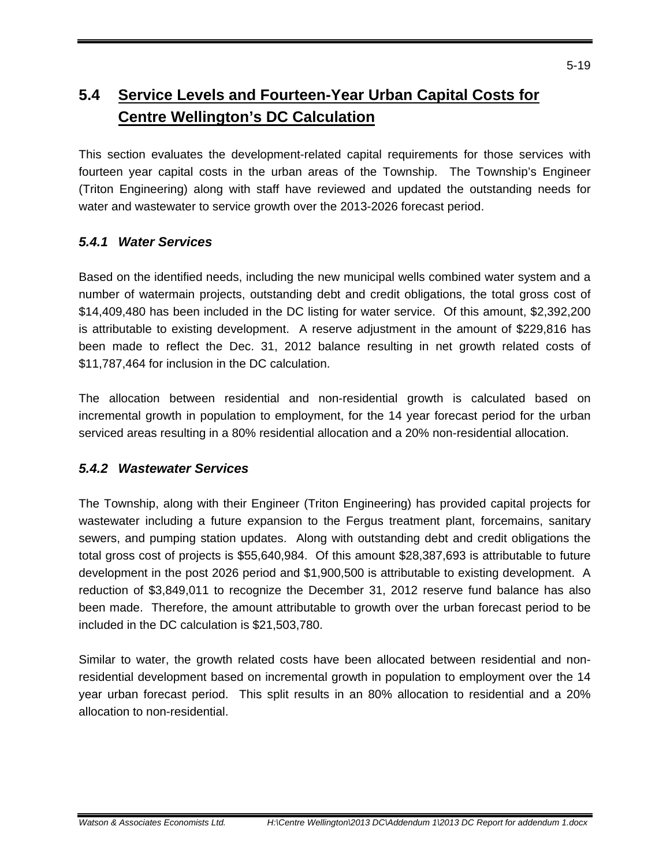#### **5.4 Service Levels and Fourteen-Year Urban Capital Costs for Centre Wellington's DC Calculation**

This section evaluates the development-related capital requirements for those services with fourteen year capital costs in the urban areas of the Township. The Township's Engineer (Triton Engineering) along with staff have reviewed and updated the outstanding needs for water and wastewater to service growth over the 2013-2026 forecast period.

#### *5.4.1 Water Services*

Based on the identified needs, including the new municipal wells combined water system and a number of watermain projects, outstanding debt and credit obligations, the total gross cost of \$14,409,480 has been included in the DC listing for water service. Of this amount, \$2,392,200 is attributable to existing development. A reserve adjustment in the amount of \$229,816 has been made to reflect the Dec. 31, 2012 balance resulting in net growth related costs of \$11,787,464 for inclusion in the DC calculation.

The allocation between residential and non-residential growth is calculated based on incremental growth in population to employment, for the 14 year forecast period for the urban serviced areas resulting in a 80% residential allocation and a 20% non-residential allocation.

#### *5.4.2 Wastewater Services*

The Township, along with their Engineer (Triton Engineering) has provided capital projects for wastewater including a future expansion to the Fergus treatment plant, forcemains, sanitary sewers, and pumping station updates. Along with outstanding debt and credit obligations the total gross cost of projects is \$55,640,984. Of this amount \$28,387,693 is attributable to future development in the post 2026 period and \$1,900,500 is attributable to existing development. A reduction of \$3,849,011 to recognize the December 31, 2012 reserve fund balance has also been made. Therefore, the amount attributable to growth over the urban forecast period to be included in the DC calculation is \$21,503,780.

Similar to water, the growth related costs have been allocated between residential and nonresidential development based on incremental growth in population to employment over the 14 year urban forecast period. This split results in an 80% allocation to residential and a 20% allocation to non-residential.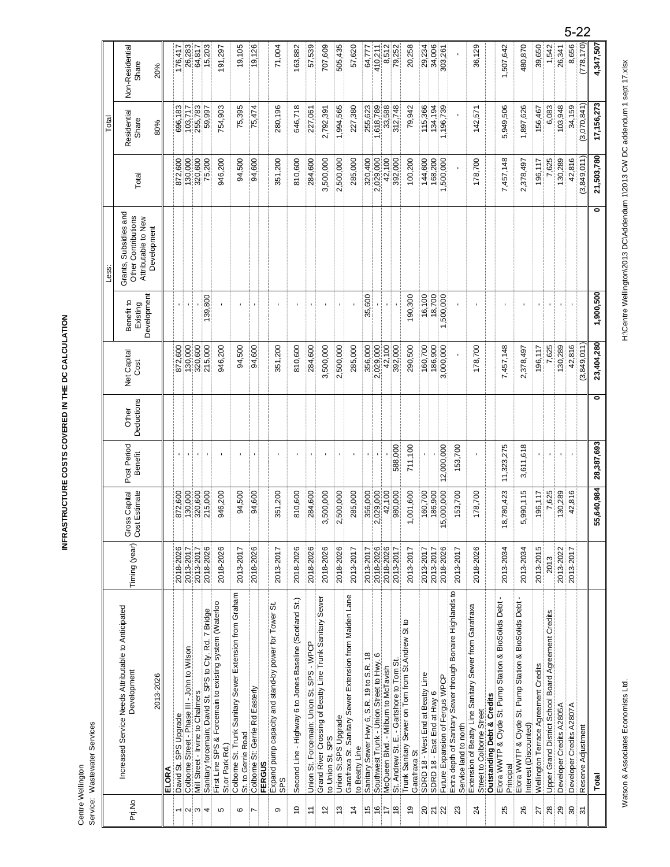# H:\Centre Wellington\2013 DC\Addendum 1\2013 CW DC addendum 1 sept 17.xlsx Watson & Associates Economists Ltd. Associates Economists Ltd. Assampled to Addendum 10.2013 DC Addendum 10.2013 DC addendum 1 sept 17.xls.x

|                |                                                                                                   |               |                                |                        |                     |                     |                                       | Less:                                                                              |             | Total                |                          |
|----------------|---------------------------------------------------------------------------------------------------|---------------|--------------------------------|------------------------|---------------------|---------------------|---------------------------------------|------------------------------------------------------------------------------------|-------------|----------------------|--------------------------|
| Prj.No         | Increased Service Needs Attributable to Anticipated<br>Development                                | Timing (year) | Gross Capital<br>Cost Estimate | Post Period<br>Benefit | Deductions<br>Other | Net Capital<br>Cost | Development<br>Benefit to<br>Existing | Grants, Subsidies and<br>Other Contributions<br>Attributable to New<br>Development | Total       | Residential<br>Share | Non-Residential<br>Share |
|                | 2013-2026                                                                                         |               |                                |                        |                     |                     |                                       |                                                                                    |             | 80%                  | 20%                      |
|                | ELORA                                                                                             |               |                                |                        |                     |                     |                                       |                                                                                    |             |                      |                          |
|                | David St. SPS Upgrade                                                                             | 2018-2026     | 872,600                        |                        |                     | 872,600             |                                       |                                                                                    | 872,600     | 696,183              | 176,417                  |
| $\sim$ $\sim$  | Colborne Street - Phase III - John to Wilson                                                      | 2013-2017     | 130,000                        |                        |                     | 130,000             |                                       |                                                                                    | 130,000     | 103,717              | 26,283                   |
|                | Mill Street - Irvine to Chalmers                                                                  | 2013-2017     | 320,600                        | ٠                      |                     | 320,600             |                                       |                                                                                    | 320,600     | 255,783              |                          |
| 4              | Sanitary forcemain; David St. SPS to Cty. Rd. 7 Bridge                                            | 2018-2026     | 215,000                        | ٠                      |                     | 215,000             | 139,800                               |                                                                                    | 75,200      | 59,997               | 15,203                   |
| Б              | First Line SPS & Forcemain to existing system (Waterloo<br>St.or Park Rd.)                        | 2018-2026     | 946,200                        |                        |                     | 946,200             |                                       |                                                                                    | 946,200     | 754,903              | 191,297                  |
| ဖ              | Colborne St. Trunk Sanitary Sewer Extension from Graham<br>St. to Gerrie Road                     | 2013-2017     | 94,500                         |                        |                     | 94,500              |                                       |                                                                                    | 94,500      | 75,395               | 19,105                   |
|                | Colborne St: Gerrie Rd Easterly                                                                   | 2018-2026     | 94,600                         |                        |                     | 94,600              |                                       |                                                                                    | 94,600      | 75,474               | 19,126                   |
|                | <b>FERGUS</b>                                                                                     |               |                                |                        |                     |                     |                                       |                                                                                    |             |                      |                          |
| ၜ              | Expand pump capacity and stand-by power for Tower St.<br>SPS                                      | 2013-2017     | 351,200                        | $\blacksquare$         |                     | 351,200             |                                       |                                                                                    | 351,200     | 280,196              | 71,004                   |
| $\frac{1}{2}$  | Second Line - Highway 6 to Jones Baseline (Scotland St.)                                          | 2018-2026     | 810,600                        |                        |                     | 810,600             |                                       |                                                                                    | 810,600     | 646,718              | 163,882                  |
| Ξ              | Union St. Forcemain: Union St. SPS - WPCP                                                         | 2018-2026     | 284,600                        |                        |                     | 284,600             |                                       |                                                                                    | 284,600     | 227,061              | 57,539                   |
| $\overline{c}$ | Grand River Crossing of Beatty Line Trunk Sanitary Sewer<br>to Union St. SPS                      | 2018-2026     | 3,500,000                      |                        |                     | 3,500,000           |                                       |                                                                                    | 3,500,000   | 2,792,391            | 707,609                  |
| 13             |                                                                                                   | 2018-2026     | 2,500,000                      |                        |                     | 2,500,000           |                                       |                                                                                    | 2,500,000   | 1,994,565            | 505,435                  |
| $\overline{4}$ | Union St.SPS Upgrade<br>Garafraxa St. Sanitary Sewer Extension from Maiden Lane<br>to Beatty Line | 2013-2017     | 285,000                        | ٠                      |                     | 285,000             |                                       |                                                                                    | 285,000     | 227,380              | 57,620                   |
| $\frac{5}{1}$  | Sanitary Sewer Hwy 6, S.R. 19 to S.R. 18                                                          | 2013-2017     | 356,000                        |                        |                     | 356,000             | 35,600                                |                                                                                    | 320,400     | 255,623              | 64,777                   |
| $\frac{6}{5}$  | Southwest Trunk - Union Street to Hwy. 6                                                          | 2018-2026     | 2,029,000                      |                        |                     | 2,029,000           |                                       |                                                                                    | 2,029,000   | 618,789              | 410,211                  |
| 17             | McQueen Blvd. - Milburn to McTavish                                                               | 2018-2026     | 42,100                         |                        |                     | 42,100              |                                       |                                                                                    | 42,100      | 33,588               | 8,512                    |
| $\frac{8}{1}$  | St. Andrew St. E. - Gartshore to Tom St                                                           | 2013-2017     | 980,000                        | 588,000                |                     | 392,000             |                                       |                                                                                    | 392,000     | 312,748              | 79,252                   |
| $\frac{9}{2}$  | Trunk Sanitary Sewer on Tom from St. Andrew St to<br>Garafraxa St                                 | 2013-2017     | ,001,600                       | 711,100                |                     | 290,500             | 190,300                               |                                                                                    | 100,200     | 79,942               | 20,258                   |
| $\overline{c}$ | SDRD 18 - West End at Beatty Line                                                                 | 2013-2017     | 160,700                        |                        |                     | 160,700             | 16,100                                |                                                                                    | 144,600     | 115,366              | 29,234                   |
| $\frac{1}{2}$  | SDRD 18 - East End at Hwy 6                                                                       | 2013-2017     | 186,900                        |                        |                     | 186,900             | 18,700                                |                                                                                    | 168,200     | 134,194              | 34,006                   |
|                | Future Expansion of Fergus WPCP                                                                   | 2018-2026     | 15,000,000                     | 12,000,000             |                     | 3,000,000           | 1,500,000                             |                                                                                    | 500,000     | 1,196,739            | 303,261                  |
| 23             | Extra depth of Sanitary Sewer through Bonaire Highlands to<br>Service land to north               | 2013-2017     | 153,700                        | 153,700                |                     |                     |                                       |                                                                                    |             |                      |                          |
| 24             | Extension of Beatty Line Sanitary Sewer from Garafraxa<br>Street to Colborne Street               | 2018-2026     | 178,700                        |                        |                     | 178,700             |                                       |                                                                                    | 178,700     | 142,57'              | 36,129                   |
|                | <b>Outstanding Debt &amp; Credits</b>                                                             |               |                                |                        |                     |                     |                                       |                                                                                    |             |                      |                          |
| 25             | Elora WWTP & Clyde St. Pump Station & BioSolids Debt -<br>Principal                               | 2013-2034     | 18,780,423                     | 11,323,275             |                     | 7,457,148           |                                       |                                                                                    | 7,457,148   | 5,949,506            | 1,507,642                |
| 26             | Elora WWTP & Clyde St. Pump Station & BioSolids Debt<br>Interest (Discounted)                     | 2013-2034     | 5,990,115                      | 3,611,618              |                     | 2,378,497           | ×                                     |                                                                                    | 2,378,497   | 1,897,626            | 480,870                  |
| 27             | Wellington Terrace Agreement Credits                                                              | 2013-2015     | 196,117                        |                        |                     | 196,117             |                                       |                                                                                    | 196,117     | 156,467              | 39,650                   |
| $28$           | Upper Grand District School Board Agreement Credits                                               | 2013          | 7,625                          |                        |                     | 7,625               |                                       |                                                                                    | 7,625       | 6,083                | 1,542                    |
| 29             | Developer Credits A2805A                                                                          | 2013-2022     | 130,289                        |                        |                     | 130,289             |                                       |                                                                                    | 130,289     | 103,948              | 26,341                   |
| $30\,$         | Developer Credits A2807A                                                                          | 2013-2017     | 42,816                         |                        |                     | 42,816              |                                       |                                                                                    | 42,816      | 34,159               | 8,656                    |
| $\overline{5}$ | Reserve Adjustment                                                                                |               |                                |                        |                     | (3,849,011)         |                                       |                                                                                    | (3,849,011) | (3,070,841)          | (778, 170)               |
|                | Total                                                                                             |               | 55,640,984                     | 28,387,693             | $\bullet$           | 23,404,280          | 1,900,500                             | ۰                                                                                  | 21,503,780  | 17,156,273           | 4,347,507                |

INFRASTRUCTURE COSTS COVERED IN THE DC CALCULATION **INFRASTRUCTURE COSTS COVERED IN THE DC CALCULATION** 

> Centre Wellington<br>Service: Wastewater Services Service: Wastewater Services Centre Wellington

5-22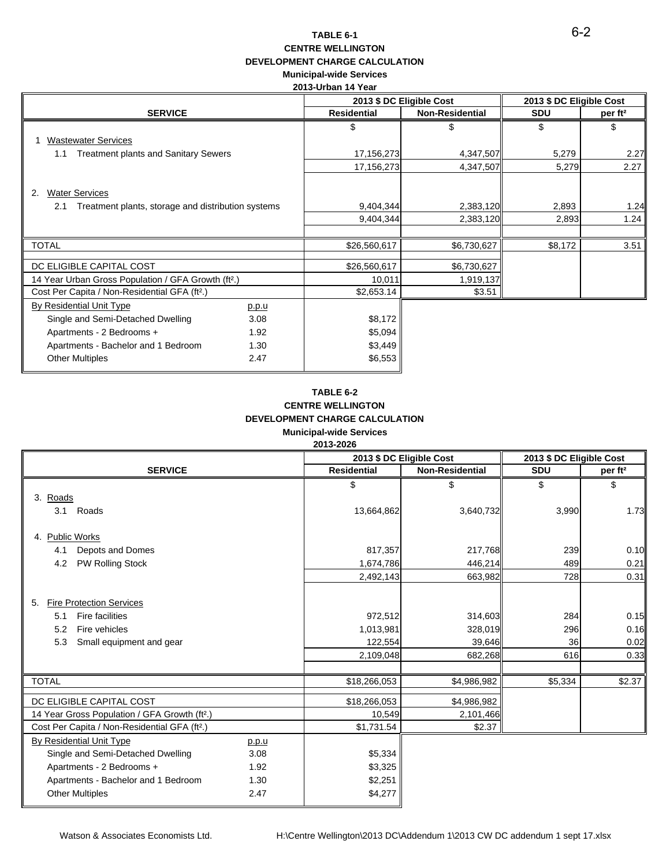#### **TABLE 6-1 CENTRE WELLINGTON DEVELOPMENT CHARGE CALCULATION Municipal-wide Services**

#### **2013-Urban 14 Year**

|                                                                                          |       |                    | 2013 \$ DC Eligible Cost | 2013 \$ DC Eligible Cost |                     |
|------------------------------------------------------------------------------------------|-------|--------------------|--------------------------|--------------------------|---------------------|
| <b>SERVICE</b>                                                                           |       | <b>Residential</b> | <b>Non-Residential</b>   | <b>SDU</b>               | per ft <sup>2</sup> |
| <b>Wastewater Services</b>                                                               |       | \$                 | \$                       | \$                       | \$                  |
| <b>Treatment plants and Sanitary Sewers</b><br>1.1                                       |       | 17,156,273         | 4,347,507                | 5,279                    | 2.27                |
|                                                                                          |       | 17,156,273         | 4,347,507                | 5,279                    | 2.27                |
| <b>Water Services</b><br>2.<br>Treatment plants, storage and distribution systems<br>2.1 |       | 9,404,344          | 2,383,120                | 2,893                    | 1.24                |
|                                                                                          |       | 9,404,344          | 2,383,120                | 2,893                    | 1.24                |
|                                                                                          |       |                    |                          |                          |                     |
| <b>TOTAL</b>                                                                             |       | \$26,560,617       | \$6,730,627              | \$8,172                  | 3.51                |
| DC ELIGIBLE CAPITAL COST                                                                 |       | \$26,560,617       | \$6,730,627              |                          |                     |
| 14 Year Urban Gross Population / GFA Growth (ft <sup>2</sup> .)                          |       | 10,011             | 1,919,137                |                          |                     |
| Cost Per Capita / Non-Residential GFA (ft <sup>2</sup> .)                                |       | \$2,653.14         | \$3.51                   |                          |                     |
| By Residential Unit Type                                                                 | p.p.u |                    |                          |                          |                     |
| Single and Semi-Detached Dwelling                                                        | 3.08  | \$8,172            |                          |                          |                     |
| Apartments - 2 Bedrooms +                                                                | 1.92  | \$5,094            |                          |                          |                     |
| Apartments - Bachelor and 1 Bedroom                                                      | 1.30  | \$3,449            |                          |                          |                     |
| <b>Other Multiples</b>                                                                   | 2.47  | \$6,553            |                          |                          |                     |

#### **TABLE 6-2 CENTRE WELLINGTON DEVELOPMENT CHARGE CALCULATION Municipal-wide Services 2013-2026**

|                                                                                                                                            |       |                                                              | 2013 \$ DC Eligible Cost                               | 2013 \$ DC Eligible Cost           |                                        |
|--------------------------------------------------------------------------------------------------------------------------------------------|-------|--------------------------------------------------------------|--------------------------------------------------------|------------------------------------|----------------------------------------|
| <b>SERVICE</b>                                                                                                                             |       | <b>Residential</b>                                           | <b>Non-Residential</b>                                 | <b>SDU</b>                         | per ft <sup>2</sup>                    |
| 3. Roads<br>Roads<br>3.1                                                                                                                   |       | \$<br>13,664,862                                             | \$<br>3,640,732                                        | \$<br>3,990                        | \$<br>1.73                             |
| 4. Public Works                                                                                                                            |       |                                                              |                                                        |                                    |                                        |
| Depots and Domes<br>4.1                                                                                                                    |       | 817,357                                                      | 217,768                                                | 239                                | 0.10                                   |
| PW Rolling Stock<br>4.2                                                                                                                    |       | 1,674,786                                                    | 446,214                                                | 489                                | 0.21                                   |
|                                                                                                                                            |       | 2,492,143                                                    | 663,982                                                | 728                                | 0.31                                   |
| <b>Fire Protection Services</b><br>5.<br>Fire facilities<br>5.1<br>Fire vehicles<br>5.2<br>5.3<br>Small equipment and gear<br><b>TOTAL</b> |       | 972,512<br>1,013,981<br>122,554<br>2,109,048<br>\$18,266,053 | 314,603<br>328,019<br>39,646<br>682,268<br>\$4,986,982 | 284<br>296<br>36<br>616<br>\$5,334 | 0.15<br>0.16<br>0.02<br>0.33<br>\$2.37 |
| DC ELIGIBLE CAPITAL COST                                                                                                                   |       | \$18,266,053                                                 | \$4,986,982                                            |                                    |                                        |
| 14 Year Gross Population / GFA Growth (ft <sup>2</sup> .)                                                                                  |       | 10,549                                                       | 2,101,466                                              |                                    |                                        |
| Cost Per Capita / Non-Residential GFA (ft <sup>2</sup> .)                                                                                  |       | \$1,731.54                                                   | \$2.37                                                 |                                    |                                        |
| By Residential Unit Type                                                                                                                   | p.p.u |                                                              |                                                        |                                    |                                        |
| Single and Semi-Detached Dwelling                                                                                                          | 3.08  | \$5,334                                                      |                                                        |                                    |                                        |
| Apartments - 2 Bedrooms +                                                                                                                  | 1.92  | \$3,325                                                      |                                                        |                                    |                                        |
| Apartments - Bachelor and 1 Bedroom                                                                                                        | 1.30  | \$2,251                                                      |                                                        |                                    |                                        |
| <b>Other Multiples</b>                                                                                                                     | 2.47  | \$4,277                                                      |                                                        |                                    |                                        |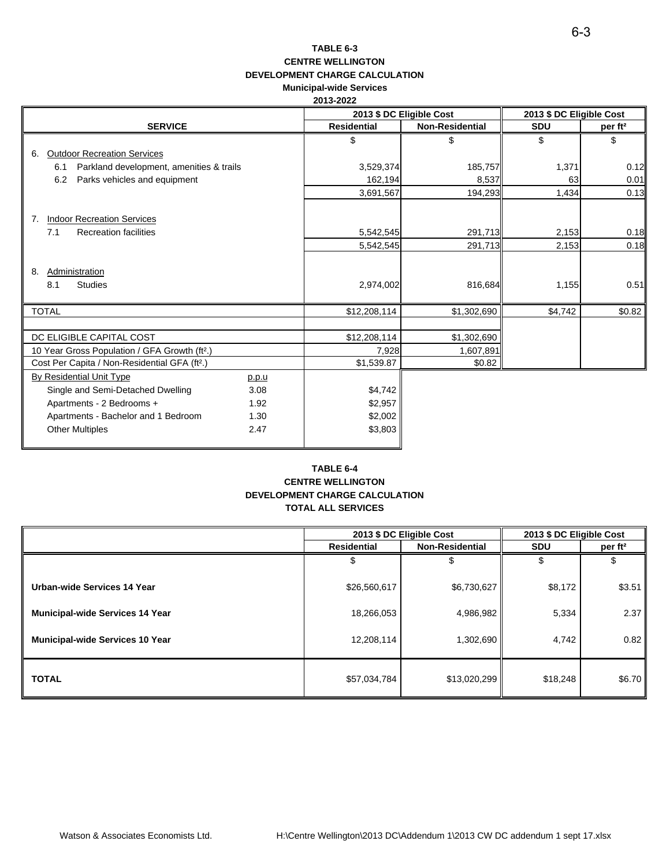#### **TABLE 6-3 CENTRE WELLINGTON DEVELOPMENT CHARGE CALCULATION Municipal-wide Services**

|                                                           |       |                    | 2013 \$ DC Eligible Cost | 2013 \$ DC Eligible Cost |                     |
|-----------------------------------------------------------|-------|--------------------|--------------------------|--------------------------|---------------------|
| <b>SERVICE</b>                                            |       | <b>Residential</b> | <b>Non-Residential</b>   | <b>SDU</b>               | per ft <sup>2</sup> |
|                                                           |       | \$                 | \$                       | \$                       | \$                  |
| <b>Outdoor Recreation Services</b><br>6.                  |       |                    |                          |                          |                     |
| Parkland development, amenities & trails<br>6.1           |       | 3,529,374          | 185,757                  | 1,371                    | 0.12                |
| 6.2<br>Parks vehicles and equipment                       |       | 162,194            | 8,537                    | 63                       | 0.01                |
|                                                           |       | 3,691,567          | 194,293                  | 1,434                    | 0.13                |
| <b>Indoor Recreation Services</b><br>7.                   |       |                    |                          |                          |                     |
| 7.1<br><b>Recreation facilities</b>                       |       | 5,542,545          | 291,713                  | 2,153                    | 0.18                |
|                                                           |       | 5,542,545          | 291,713                  | 2,153                    | 0.18                |
| Administration<br>8.<br>8.1<br><b>Studies</b>             |       | 2,974,002          | 816,684                  | 1,155                    | 0.51                |
| <b>TOTAL</b>                                              |       | \$12,208,114       | \$1,302,690              | \$4,742                  | \$0.82              |
|                                                           |       |                    |                          |                          |                     |
| DC ELIGIBLE CAPITAL COST                                  |       | \$12,208,114       | \$1,302,690              |                          |                     |
| 10 Year Gross Population / GFA Growth (ft <sup>2</sup> .) |       | 7,928              | 1,607,891                |                          |                     |
| Cost Per Capita / Non-Residential GFA (ft <sup>2</sup> .) |       | \$1,539.87         | \$0.82                   |                          |                     |
| By Residential Unit Type                                  | p.p.u |                    |                          |                          |                     |
| Single and Semi-Detached Dwelling                         | 3.08  | \$4,742            |                          |                          |                     |
| Apartments - 2 Bedrooms +                                 | 1.92  | \$2,957            |                          |                          |                     |
| Apartments - Bachelor and 1 Bedroom                       | 1.30  | \$2,002            |                          |                          |                     |
| <b>Other Multiples</b>                                    | 2.47  | \$3,803            |                          |                          |                     |

#### **TABLE 6-4 CENTRE WELLINGTON DEVELOPMENT CHARGE CALCULATION TOTAL ALL SERVICES**

|                                        |                    | 2013 \$ DC Eligible Cost | 2013 \$ DC Eligible Cost |                     |
|----------------------------------------|--------------------|--------------------------|--------------------------|---------------------|
|                                        | <b>Residential</b> | <b>Non-Residential</b>   | <b>SDU</b>               | per ft <sup>2</sup> |
|                                        |                    |                          |                          |                     |
| Urban-wide Services 14 Year            | \$26,560,617       | \$6,730,627              | \$8,172                  | \$3.51              |
| <b>Municipal-wide Services 14 Year</b> | 18,266,053         | 4,986,982                | 5,334                    | 2.37                |
| <b>Municipal-wide Services 10 Year</b> | 12,208,114         | 1,302,690                | 4,742                    | 0.82                |
| <b>TOTAL</b>                           | \$57,034,784       | \$13,020,299             | \$18,248                 | \$6.70              |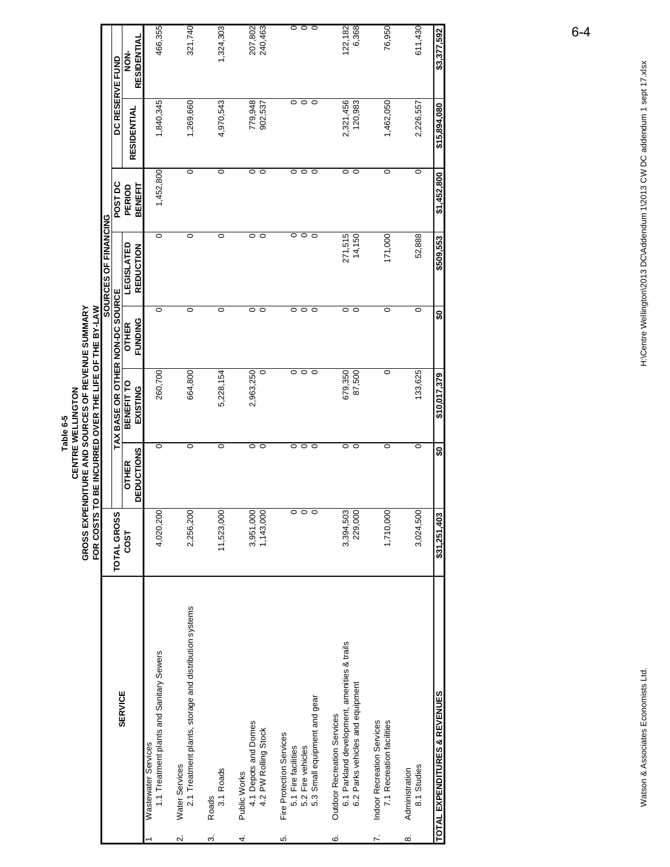|    |                                                                                                                 | GROSS EXP              |                                   | ENDITURE AND SOURCES OF REVENUE SUMMARY<br>CENTRE WELLINGTON<br>Table 6-5 |                                |                                       |                               |                               |                     |
|----|-----------------------------------------------------------------------------------------------------------------|------------------------|-----------------------------------|---------------------------------------------------------------------------|--------------------------------|---------------------------------------|-------------------------------|-------------------------------|---------------------|
|    |                                                                                                                 | FOR COSTS              |                                   | TO BE INCURRED OVER THE LIFE OF THE BY-LAW                                |                                | SOURCES OF FINANCING                  |                               |                               |                     |
|    | <b>SERVICE</b>                                                                                                  | TOTAL GROSS            |                                   | TAX BASE OR OTHER NON-DC SOURCE                                           |                                |                                       | POST DC                       |                               | DC RESERVE FUND     |
|    |                                                                                                                 | <b>COST</b>            | <b>DEDUCTIONS</b><br><b>OTHER</b> | BENEFIT TO<br>EXISTING                                                    | <b>FUNDING</b><br><b>OTHER</b> | <b>LEGISLATED</b><br><b>REDUCTION</b> | BENEFIT<br>PERIOD             | RESIDENTIAL                   | RESIDENTIAL<br>NON- |
|    | 1.1 Treatment plants and Sanitary Sewers<br>Wastewater Services                                                 | 4,020,200              | $\circ$                           | 260,700                                                                   | $\circ$                        | $\circ$                               | 1,452,800                     | 1,840,345                     | 466,355             |
|    | 2.1 Treatment plants, storage and distribution systems<br><b>Water Services</b>                                 | 2,256,200              | $\circ$                           | 664,800                                                                   | $\circ$                        | $\circ$                               | 0                             | 1,269,660                     | 321,740             |
|    | 3.1 Roads<br>Roads                                                                                              | 11,523,000             | $\circ$                           | 5,228,154                                                                 | $\circ$                        | $\circ$                               | O                             | 4,970,543                     | 1,324,303           |
|    | 4.1 Depots and Domes<br>4.2 PW Rolling Stock<br>Public Works                                                    | 3,951,000<br>1,143,000 | $\circ$<br>0                      | 2,963,250<br>$\circ$                                                      | 0<br>$\circ$                   | $\circ$<br>$\circ$                    | $\circ$<br>$\circ$            | 779,948<br>902,537            | 207,802<br>240,463  |
|    | 5.3 Small equipment and gear<br>Fire Protection Services<br>5.2 Fire vehicles<br>5.1 Fire facilities            |                        | $\circ$<br>$\circ$<br>0           | $\frac{1}{\circ}$                                                         | $\circ$<br>$\circ$<br>$\circ$  | $\circ$<br>$\circ$<br>$\circ$         | $\circ$<br>$\circ$<br>$\circ$ | $\circ$<br>$\circ$<br>$\circ$ | $\circ\circ\circ$   |
| ဖ  | 6.1 Parkland development, amenities & trails<br>6.2 Parks vehicles and equipment<br>Outdoor Recreation Services | 3,394,503<br>229,000   | $\circ$<br>$\circ$                | 679,350<br>87,500                                                         | $\circ$<br>$\circ$             | 271,515<br>14,150                     | $\circ$<br>$\circ$            | 2,321,456<br>120,983          | 122, 182<br>6,368   |
|    | 7.1 Recreation facilities<br>Indoor Recreation Services                                                         | 1,710,000              | 0                                 | O                                                                         | $\circ$                        | 171,000                               | O                             | 1,462,050                     | 76,950              |
| ထဲ | 8.1 Studies<br>Administration                                                                                   | 3,024,500              | 0                                 | 133,625                                                                   | $\circ$                        | 52,888                                | $\circ$                       | 2,226,557                     | 611,430             |
|    | TOTAL EXPENDITURES & REVENUES                                                                                   | \$31,251,403           | ន្ល                               | \$10,017,379                                                              | SO                             | \$509,553                             | \$1,452,800                   | \$15,894,080                  | \$3,377,592         |

H:\Centre Wellington\2013 DC\Addendum 1\2013 CW DC addendum 1 sept 17.xlsx

6-4

Watson & Associates Economists Ltd. Mechanists Ltd. H:\Centre Wellington\2013 DC\Addendum 1\2013 DC\Addendum 1 sept 17.xlsx Watson & Associates Economists Ltd.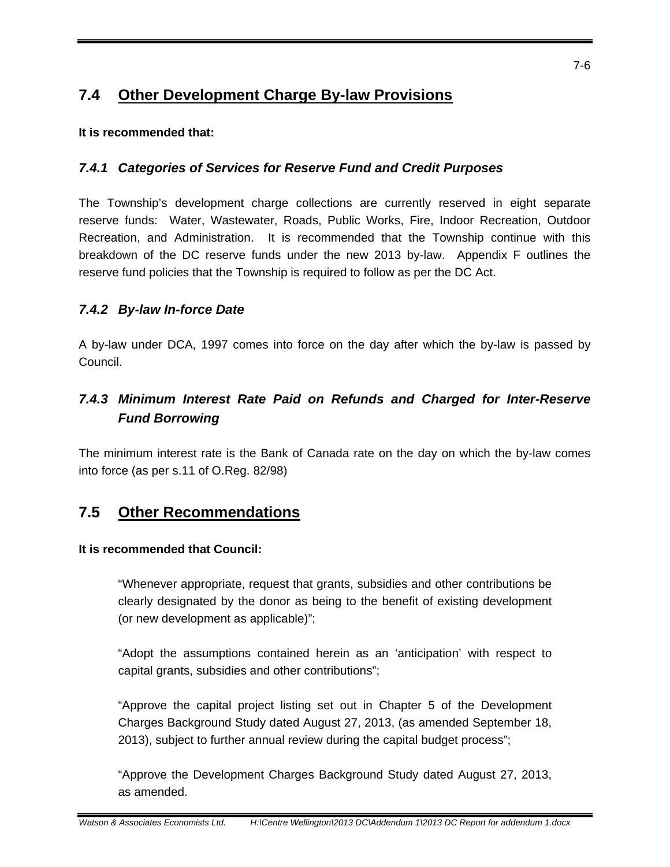#### **7.4 Other Development Charge By-law Provisions**

#### **It is recommended that:**

#### *7.4.1 Categories of Services for Reserve Fund and Credit Purposes*

The Township's development charge collections are currently reserved in eight separate reserve funds: Water, Wastewater, Roads, Public Works, Fire, Indoor Recreation, Outdoor Recreation, and Administration. It is recommended that the Township continue with this breakdown of the DC reserve funds under the new 2013 by-law. Appendix F outlines the reserve fund policies that the Township is required to follow as per the DC Act.

#### *7.4.2 By-law In-force Date*

A by-law under DCA, 1997 comes into force on the day after which the by-law is passed by Council.

#### *7.4.3 Minimum Interest Rate Paid on Refunds and Charged for Inter-Reserve Fund Borrowing*

The minimum interest rate is the Bank of Canada rate on the day on which the by-law comes into force (as per s.11 of O.Reg. 82/98)

#### **7.5 Other Recommendations**

#### **It is recommended that Council:**

"Whenever appropriate, request that grants, subsidies and other contributions be clearly designated by the donor as being to the benefit of existing development (or new development as applicable)";

"Adopt the assumptions contained herein as an 'anticipation' with respect to capital grants, subsidies and other contributions";

"Approve the capital project listing set out in Chapter 5 of the Development Charges Background Study dated August 27, 2013, (as amended September 18, 2013), subject to further annual review during the capital budget process";

"Approve the Development Charges Background Study dated August 27, 2013, as amended.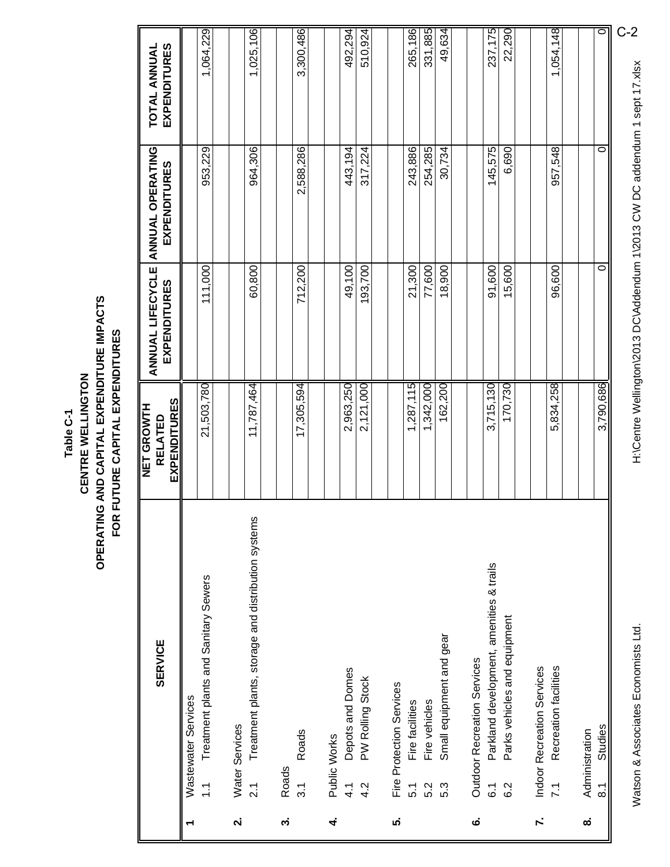#### OPERATING AND CAPITAL EXPENDITURE IMPACTS **OPERATING AND CAPITAL EXPENDITURE IMPACTS** FOR FUTURE CAPITAL EXPENDITURES **FOR FUTURE CAPITAL EXPENDITURES** CENTRE WELLINGTON **CENTRE WELLINGTON** Table C-1 **Table C-1**

|                    | <b>SERVICE</b>                                                         | EXPENDITURES<br><b>NET GROWTH</b><br><b>RELATED</b> | ANNUAL LIFECYCLE<br><b>EXPENDITURES</b> | <b>ANNUAL OPERATING</b><br>EXPENDITURES | EXPENDITURES<br>TOTAL ANNUAL |
|--------------------|------------------------------------------------------------------------|-----------------------------------------------------|-----------------------------------------|-----------------------------------------|------------------------------|
| ↽                  | Wastewater Services                                                    |                                                     |                                         |                                         |                              |
|                    | Treatment plants and Sanitary Sewers<br>$\tilde{=}$                    | 21,503,780                                          | 111,000                                 | 953,229                                 | 1,064,229                    |
| $\dot{\mathbf{r}}$ | Water Services                                                         |                                                     |                                         |                                         |                              |
|                    | Treatment plants, storage and distribution systems<br>$\overline{2.1}$ | 11,787,464                                          | 60,800                                  | 964,306                                 | 1,025,106                    |
| က်                 | Roads                                                                  |                                                     |                                         |                                         |                              |
|                    | Roads<br>$\frac{3}{1}$                                                 | 17,305,594                                          | 712,200                                 | 2,588,286                               | 3,300,486                    |
| 4                  | Public Works                                                           |                                                     |                                         |                                         |                              |
|                    | Depots and Domes<br>$\frac{1}{4}$                                      | 2,963,250                                           | 49,100                                  | 443,194                                 | 492,294                      |
|                    | PW Rolling Stock<br>$\frac{2}{4}$                                      | 2,121,000                                           | 193,700                                 | 317,224                                 | 510,924                      |
| ທ່                 | Fire Protection Services                                               |                                                     |                                         |                                         |                              |
|                    | Fire facilities<br>5.1                                                 | 1,287,115                                           | 21,300                                  | 243,886                                 | 265,186                      |
|                    | Fire vehicles<br>5.2                                                   | 1,342,000                                           | 77,600                                  | 254,285                                 | 331,885                      |
|                    | Small equipment and gear<br>5.3                                        | 162,200                                             | 18,900                                  | 30,734                                  | 49,634                       |
| ဖ                  | Outdoor Recreation Services                                            |                                                     |                                         |                                         |                              |
|                    | Parkland development, amenities & trails<br>$\overline{6}$ .           | 3,715,130                                           | 91,600                                  | 145,575                                 | 237,175                      |
|                    | Parks vehicles and equipment<br>6.2                                    | 170,730                                             | 15,600                                  | 6,690                                   | 22,290                       |
| <sup>-</sup>       | Indoor Recreation Services                                             |                                                     |                                         |                                         |                              |
|                    | Recreation facilities<br>$\overline{7.1}$                              | 5,834,258                                           | 96,600                                  | 957,548                                 | 1,054,148                    |
|                    |                                                                        |                                                     |                                         |                                         |                              |
| ထံ                 | <b>Studies</b><br>Administration<br>$\overline{8}$ .                   | 3,790,686                                           | 0                                       | 0                                       | $\circ$                      |
|                    |                                                                        |                                                     |                                         |                                         |                              |

Watson & Associates Economists Ltd.

H:\Centre Wellington\2013 DC\Addendum 1\2013 CW DC addendum 1 sept 17.xlsx Watson & Associates Economists Ltd. H:\Centre Wellington\2013 DC\Addendum 1\2013 CW DC addendum 1 sept 17.xlsx

C-2